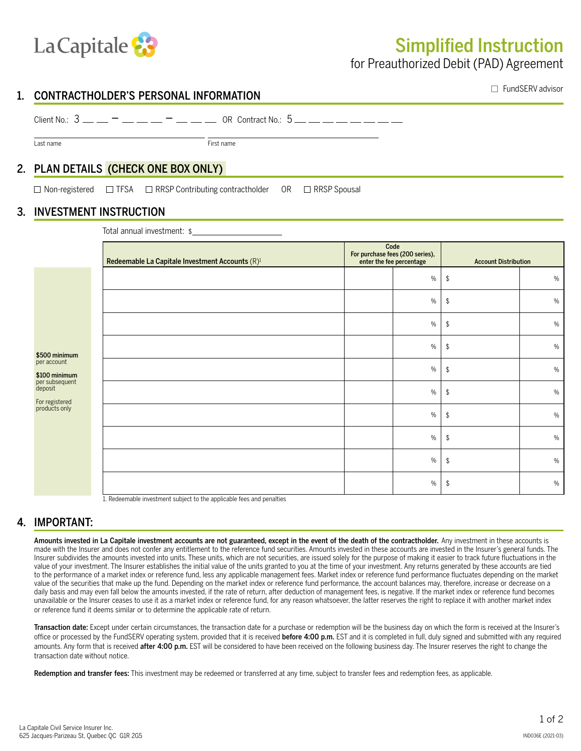

# Simplified Instruction

for Preauthorized Debit (PAD) Agreement

### 1. CONTRACTHOLDER'S PERSONAL INFORMATION

 $\Box$  FundSERV advisor

#### Last name **First name**

Client No.: 3 – – OR Contract No.: 5

# 2. PLAN DETAILS (CHECK ONE BOX ONLY)

 $\Box$  Non-registered  $\Box$  TFSA  $\Box$  RRSP Contributing contractholder OR  $\Box$  RRSP Spousal

#### 3. INVESTMENT INSTRUCTION

Total annual investment: \$

| Redeemable La Capitale Investment Accounts (R) <sup>1</sup> | Code<br>For purchase fees (200 series),<br>enter the fee percentage |      | <b>Account Distribution</b> |               |
|-------------------------------------------------------------|---------------------------------------------------------------------|------|-----------------------------|---------------|
|                                                             |                                                                     | $\%$ | \$                          | $\%$          |
|                                                             |                                                                     | $\%$ | \$                          | $\%$          |
|                                                             |                                                                     | $\%$ | \$                          | $\%$          |
|                                                             |                                                                     | $\%$ | \$                          | $\%$          |
|                                                             |                                                                     | $\%$ | \$                          | $\%$          |
|                                                             |                                                                     | $\%$ | \$                          | $\%$          |
|                                                             |                                                                     | $\%$ | \$                          | $\%$          |
|                                                             |                                                                     | $\%$ | \$                          | $\frac{0}{0}$ |
|                                                             |                                                                     | $\%$ | \$                          | $\%$          |
|                                                             |                                                                     | $\%$ | \$                          | $\%$          |

1. Redeemable investment subject to the applicable fees and penalties

## 4. IMPORTANT:

\$500 minimum per account \$100 minimum per subsequent deposit For registered products only

Amounts invested in La Capitale investment accounts are not guaranteed, except in the event of the death of the contractholder. Any investment in these accounts is made with the Insurer and does not confer any entitlement to the reference fund securities. Amounts invested in these accounts are invested in the Insurer's general funds. The Insurer subdivides the amounts invested into units. These units, which are not securities, are issued solely for the purpose of making it easier to track future fluctuations in the value of your investment. The Insurer establishes the initial value of the units granted to you at the time of your investment. Any returns generated by these accounts are tied to the performance of a market index or reference fund, less any applicable management fees. Market index or reference fund performance fluctuates depending on the market value of the securities that make up the fund. Depending on the market index or reference fund performance, the account balances may, therefore, increase or decrease on a daily basis and may even fall below the amounts invested, if the rate of return, after deduction of management fees, is negative. If the market index or reference fund becomes unavailable or the Insurer ceases to use it as a market index or reference fund, for any reason whatsoever, the latter reserves the right to replace it with another market index or reference fund it deems similar or to determine the applicable rate of return.

Transaction date: Except under certain circumstances, the transaction date for a purchase or redemption will be the business day on which the form is received at the Insurer's office or processed by the FundSERV operating system, provided that it is received before 4:00 p.m. EST and it is completed in full, duly signed and submitted with any required amounts. Any form that is received after 4:00 p.m. EST will be considered to have been received on the following business day. The Insurer reserves the right to change the transaction date without notice.

Redemption and transfer fees: This investment may be redeemed or transferred at any time, subject to transfer fees and redemption fees, as applicable.